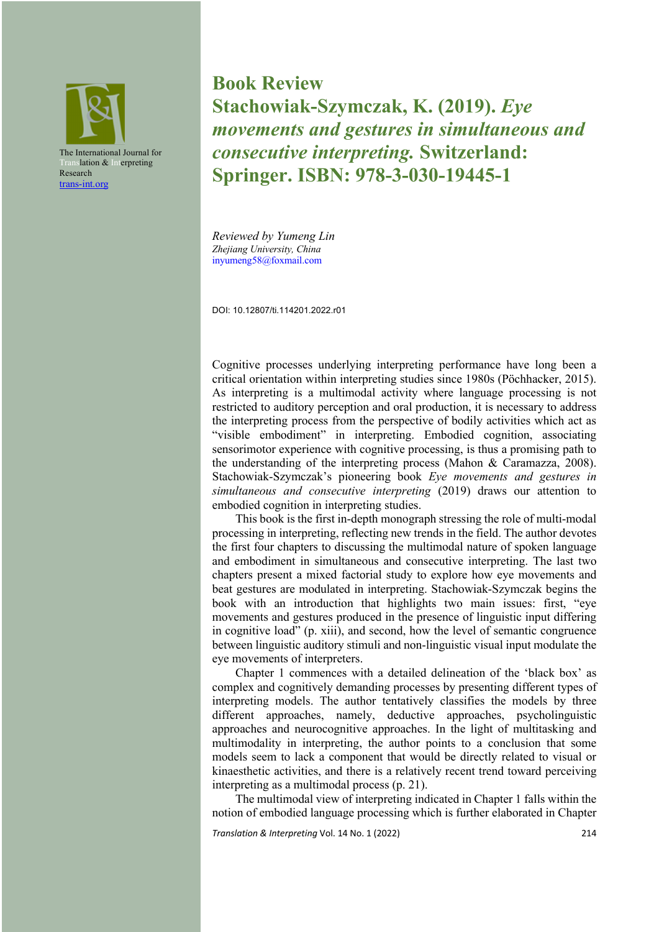

**Book Review Stachowiak-Szymczak, K. (2019).** *Eye movements and gestures in simultaneous and consecutive interpreting.* **Switzerland: Springer. ISBN: 978-3-030-19445-1**

*Reviewed by Yumeng Lin Zhejiang University, China* inyumeng58@foxmail.com

DOI: 10.12807/ti.114201.2022.r01

Cognitive processes underlying interpreting performance have long been a critical orientation within interpreting studies since 1980s (Pöchhacker, 2015). As interpreting is a multimodal activity where language processing is not restricted to auditory perception and oral production, it is necessary to address the interpreting process from the perspective of bodily activities which act as "visible embodiment" in interpreting. Embodied cognition, associating sensorimotor experience with cognitive processing, is thus a promising path to the understanding of the interpreting process (Mahon & Caramazza, 2008). Stachowiak-Szymczak's pioneering book *Eye movements and gestures in simultaneous and consecutive interpreting* (2019) draws our attention to embodied cognition in interpreting studies.

This book is the first in-depth monograph stressing the role of multi-modal processing in interpreting, reflecting new trends in the field. The author devotes the first four chapters to discussing the multimodal nature of spoken language and embodiment in simultaneous and consecutive interpreting. The last two chapters present a mixed factorial study to explore how eye movements and beat gestures are modulated in interpreting. Stachowiak-Szymczak begins the book with an introduction that highlights two main issues: first, "eye movements and gestures produced in the presence of linguistic input differing in cognitive load" (p. xiii), and second, how the level of semantic congruence between linguistic auditory stimuli and non-linguistic visual input modulate the eye movements of interpreters.

Chapter 1 commences with a detailed delineation of the 'black box' as complex and cognitively demanding processes by presenting different types of interpreting models. The author tentatively classifies the models by three different approaches, namely, deductive approaches, psycholinguistic approaches and neurocognitive approaches. In the light of multitasking and multimodality in interpreting, the author points to a conclusion that some models seem to lack a component that would be directly related to visual or kinaesthetic activities, and there is a relatively recent trend toward perceiving interpreting as a multimodal process (p. 21).

The multimodal view of interpreting indicated in Chapter 1 falls within the notion of embodied language processing which is further elaborated in Chapter

*Translation & Interpreting* Vol. 14 No. 1 (2022)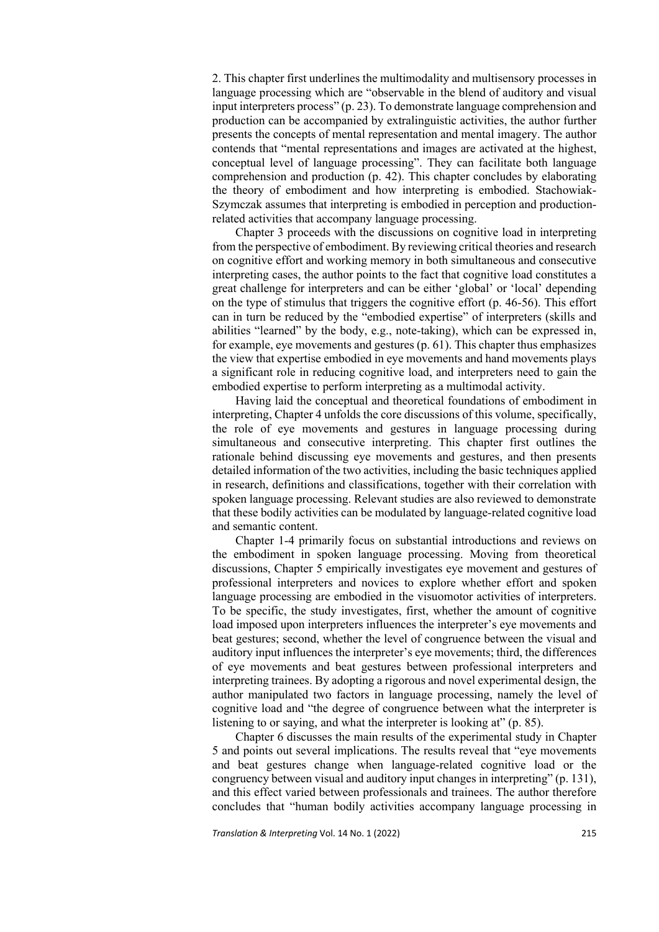2. This chapter first underlines the multimodality and multisensory processes in language processing which are "observable in the blend of auditory and visual input interpreters process" (p. 23). To demonstrate language comprehension and production can be accompanied by extralinguistic activities, the author further presents the concepts of mental representation and mental imagery. The author contends that "mental representations and images are activated at the highest, conceptual level of language processing". They can facilitate both language comprehension and production (p. 42). This chapter concludes by elaborating the theory of embodiment and how interpreting is embodied. Stachowiak-Szymczak assumes that interpreting is embodied in perception and productionrelated activities that accompany language processing.

Chapter 3 proceeds with the discussions on cognitive load in interpreting from the perspective of embodiment. By reviewing critical theories and research on cognitive effort and working memory in both simultaneous and consecutive interpreting cases, the author points to the fact that cognitive load constitutes a great challenge for interpreters and can be either 'global' or 'local' depending on the type of stimulus that triggers the cognitive effort (p. 46-56). This effort can in turn be reduced by the "embodied expertise" of interpreters (skills and abilities "learned" by the body, e.g., note-taking), which can be expressed in, for example, eye movements and gestures (p. 61). This chapter thus emphasizes the view that expertise embodied in eye movements and hand movements plays a significant role in reducing cognitive load, and interpreters need to gain the embodied expertise to perform interpreting as a multimodal activity.

Having laid the conceptual and theoretical foundations of embodiment in interpreting, Chapter 4 unfolds the core discussions of this volume, specifically, the role of eye movements and gestures in language processing during simultaneous and consecutive interpreting. This chapter first outlines the rationale behind discussing eye movements and gestures, and then presents detailed information of the two activities, including the basic techniques applied in research, definitions and classifications, together with their correlation with spoken language processing. Relevant studies are also reviewed to demonstrate that these bodily activities can be modulated by language-related cognitive load and semantic content.

Chapter 1-4 primarily focus on substantial introductions and reviews on the embodiment in spoken language processing. Moving from theoretical discussions, Chapter 5 empirically investigates eye movement and gestures of professional interpreters and novices to explore whether effort and spoken language processing are embodied in the visuomotor activities of interpreters. To be specific, the study investigates, first, whether the amount of cognitive load imposed upon interpreters influences the interpreter's eye movements and beat gestures; second, whether the level of congruence between the visual and auditory input influences the interpreter's eye movements; third, the differences of eye movements and beat gestures between professional interpreters and interpreting trainees. By adopting a rigorous and novel experimental design, the author manipulated two factors in language processing, namely the level of cognitive load and "the degree of congruence between what the interpreter is listening to or saying, and what the interpreter is looking at" (p. 85).

Chapter 6 discusses the main results of the experimental study in Chapter 5 and points out several implications. The results reveal that "eye movements and beat gestures change when language-related cognitive load or the congruency between visual and auditory input changes in interpreting" (p. 131), and this effect varied between professionals and trainees. The author therefore concludes that "human bodily activities accompany language processing in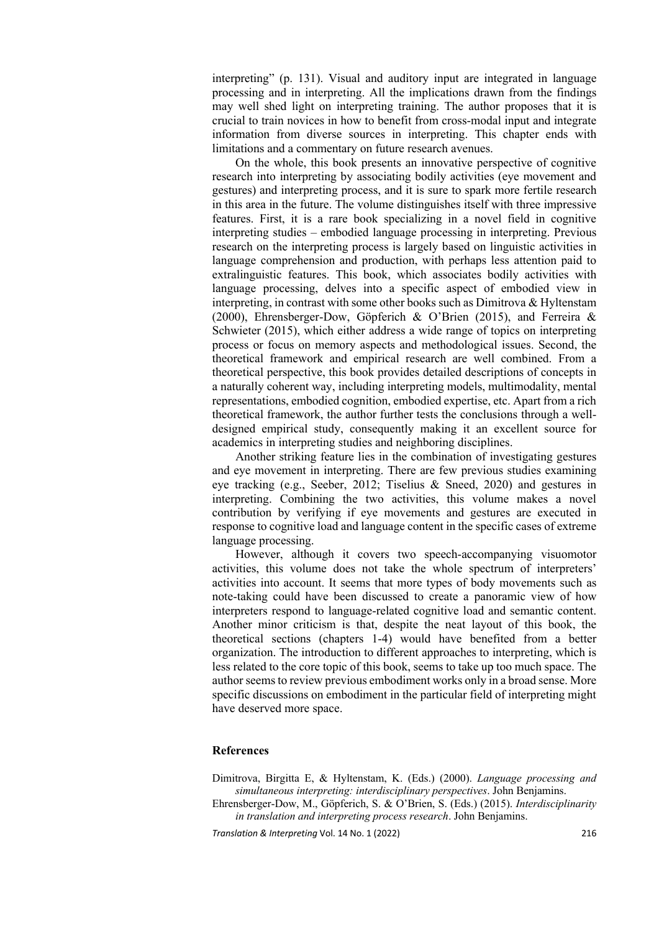interpreting" (p. 131). Visual and auditory input are integrated in language processing and in interpreting. All the implications drawn from the findings may well shed light on interpreting training. The author proposes that it is crucial to train novices in how to benefit from cross-modal input and integrate information from diverse sources in interpreting. This chapter ends with limitations and a commentary on future research avenues.

On the whole, this book presents an innovative perspective of cognitive research into interpreting by associating bodily activities (eye movement and gestures) and interpreting process, and it is sure to spark more fertile research in this area in the future. The volume distinguishes itself with three impressive features. First, it is a rare book specializing in a novel field in cognitive interpreting studies – embodied language processing in interpreting. Previous research on the interpreting process is largely based on linguistic activities in language comprehension and production, with perhaps less attention paid to extralinguistic features. This book, which associates bodily activities with language processing, delves into a specific aspect of embodied view in interpreting, in contrast with some other books such as Dimitrova & Hyltenstam (2000), Ehrensberger-Dow, Göpferich & O'Brien (2015), and Ferreira & Schwieter (2015), which either address a wide range of topics on interpreting process or focus on memory aspects and methodological issues. Second, the theoretical framework and empirical research are well combined. From a theoretical perspective, this book provides detailed descriptions of concepts in a naturally coherent way, including interpreting models, multimodality, mental representations, embodied cognition, embodied expertise, etc. Apart from a rich theoretical framework, the author further tests the conclusions through a welldesigned empirical study, consequently making it an excellent source for academics in interpreting studies and neighboring disciplines.

Another striking feature lies in the combination of investigating gestures and eye movement in interpreting. There are few previous studies examining eye tracking (e.g., Seeber, 2012; Tiselius & Sneed, 2020) and gestures in interpreting. Combining the two activities, this volume makes a novel contribution by verifying if eye movements and gestures are executed in response to cognitive load and language content in the specific cases of extreme language processing.

However, although it covers two speech-accompanying visuomotor activities, this volume does not take the whole spectrum of interpreters' activities into account. It seems that more types of body movements such as note-taking could have been discussed to create a panoramic view of how interpreters respond to language-related cognitive load and semantic content. Another minor criticism is that, despite the neat layout of this book, the theoretical sections (chapters 1-4) would have benefited from a better organization. The introduction to different approaches to interpreting, which is less related to the core topic of this book, seems to take up too much space. The author seems to review previous embodiment works only in a broad sense. More specific discussions on embodiment in the particular field of interpreting might have deserved more space.

## **References**

Dimitrova, Birgitta E, & Hyltenstam, K. (Eds.) (2000). *Language processing and simultaneous interpreting: interdisciplinary perspectives*. John Benjamins.

Ehrensberger-Dow, M., Göpferich, S. & O'Brien, S. (Eds.) (2015). *Interdisciplinarity in translation and interpreting process research*. John Benjamins.

*Translation & Interpreting* Vol. 14 No. 1 (2022)